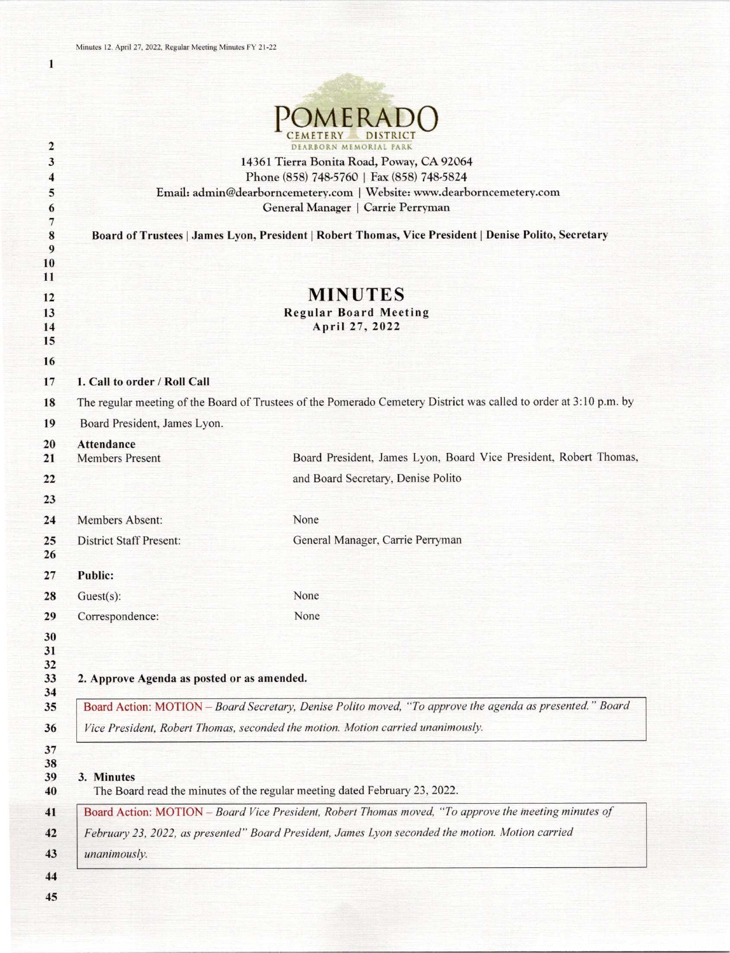|                              |                                                                                                                    | DEARRORN MEMORIAL PARK                                                                               |  |
|------------------------------|--------------------------------------------------------------------------------------------------------------------|------------------------------------------------------------------------------------------------------|--|
| $\overline{\mathbf{2}}$<br>3 |                                                                                                                    | 14361 Tierra Bonita Road, Poway, CA 92064                                                            |  |
| 4                            |                                                                                                                    | Phone (858) 748-5760   Fax (858) 748-5824                                                            |  |
| 5                            |                                                                                                                    | Email: admin@dearborncemetery.com   Website: www.dearborncemetery.com                                |  |
| 6                            |                                                                                                                    | General Manager   Carrie Perryman                                                                    |  |
| 7<br>8<br>9                  |                                                                                                                    | Board of Trustees   James Lyon, President   Robert Thomas, Vice President   Denise Polito, Secretary |  |
| 10                           |                                                                                                                    |                                                                                                      |  |
| 11                           |                                                                                                                    |                                                                                                      |  |
| 12                           |                                                                                                                    | <b>MINUTES</b>                                                                                       |  |
| 13<br>14                     |                                                                                                                    | <b>Regular Board Meeting</b><br>April 27, 2022                                                       |  |
| 15                           |                                                                                                                    |                                                                                                      |  |
| 16                           |                                                                                                                    |                                                                                                      |  |
| 17                           | 1. Call to order / Roll Call                                                                                       |                                                                                                      |  |
| 18                           | The regular meeting of the Board of Trustees of the Pomerado Cemetery District was called to order at 3:10 p.m. by |                                                                                                      |  |
| 19                           | Board President, James Lyon.                                                                                       |                                                                                                      |  |
| 20                           | <b>Attendance</b>                                                                                                  |                                                                                                      |  |
| 21                           | <b>Members Present</b>                                                                                             | Board President, James Lyon, Board Vice President, Robert Thomas,                                    |  |
| 22                           |                                                                                                                    | and Board Secretary, Denise Polito                                                                   |  |
| 23                           |                                                                                                                    |                                                                                                      |  |
| 24                           | Members Absent:                                                                                                    | None                                                                                                 |  |
| 25<br>26                     | <b>District Staff Present:</b>                                                                                     | General Manager, Carrie Perryman                                                                     |  |
| 27                           | <b>Public:</b>                                                                                                     |                                                                                                      |  |
| 28                           | $Guest(s)$ :                                                                                                       | None                                                                                                 |  |
| 29                           | Correspondence:                                                                                                    | None                                                                                                 |  |
| 30<br>31<br>32<br>33<br>34   | 2. Approve Agenda as posted or as amended.                                                                         |                                                                                                      |  |
| 35                           | Board Action: MOTION - Board Secretary, Denise Polito moved, "To approve the agenda as presented." Board           |                                                                                                      |  |
| 36                           | Vice President, Robert Thomas, seconded the motion. Motion carried unanimously.                                    |                                                                                                      |  |
| 37<br>38<br>39<br>40         | 3. Minutes                                                                                                         | The Board read the minutes of the regular meeting dated February 23, 2022.                           |  |
| 41                           | Board Action: MOTION - Board Vice President, Robert Thomas moved, "To approve the meeting minutes of               |                                                                                                      |  |
| 42                           |                                                                                                                    | February 23, 2022, as presented" Board President, James Lyon seconded the motion. Motion carried     |  |
| 43                           | unanimously.                                                                                                       |                                                                                                      |  |
| 44                           |                                                                                                                    |                                                                                                      |  |

1

45